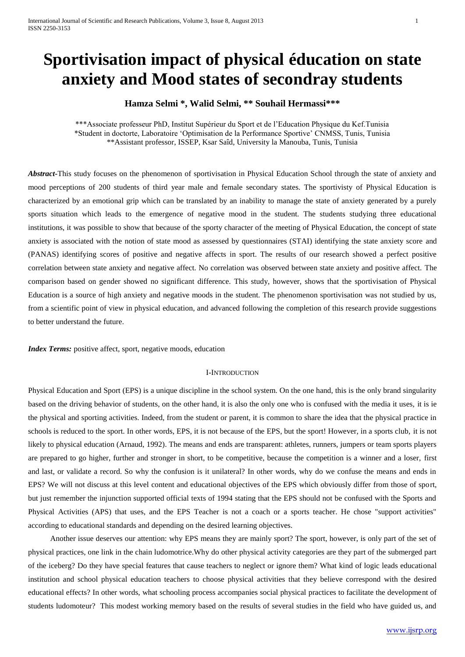# **Sportivisation impact of physical éducation on state anxiety and Mood states of secondray students**

# **Hamza Selmi \*, Walid Selmi, \*\* Souhail Hermassi\*\*\***

\*\*\*Associate professeur PhD, Institut Supérieur du Sport et de l'Education Physique du Kef.Tunisia \*Student in doctorte, Laboratoire 'Optimisation de la Performance Sportive' CNMSS, Tunis, Tunisia \*\*Assistant professor, ISSEP, Ksar Saîd, University la Manouba, Tunis, Tunisia

*Abstract***-**This study focuses on the phenomenon of sportivisation in Physical Education School through the state of anxiety and mood perceptions of 200 students of third year male and female secondary states. The sportivisty of Physical Education is characterized by an emotional grip which can be translated by an inability to manage the state of anxiety generated by a purely sports situation which leads to the emergence of negative mood in the student. The students studying three educational institutions, it was possible to show that because of the sporty character of the meeting of Physical Education, the concept of state anxiety is associated with the notion of state mood as assessed by questionnaires (STAI) identifying the state anxiety score and (PANAS) identifying scores of positive and negative affects in sport. The results of our research showed a perfect positive correlation between state anxiety and negative affect. No correlation was observed between state anxiety and positive affect. The comparison based on gender showed no significant difference. This study, however, shows that the sportivisation of Physical Education is a source of high anxiety and negative moods in the student. The phenomenon sportivisation was not studied by us, from a scientific point of view in physical education, and advanced following the completion of this research provide suggestions to better understand the future.

*Index Terms:* positive affect, sport, negative moods, education

#### I-INTRODUCTION

Physical Education and Sport (EPS) is a unique discipline in the school system. On the one hand, this is the only brand singularity based on the driving behavior of students, on the other hand, it is also the only one who is confused with the media it uses, it is ie the physical and sporting activities. Indeed, from the student or parent, it is common to share the idea that the physical practice in schools is reduced to the sport. In other words, EPS, it is not because of the EPS, but the sport! However, in a sports club, it is not likely to physical education (Arnaud, 1992). The means and ends are transparent: athletes, runners, jumpers or team sports players are prepared to go higher, further and stronger in short, to be competitive, because the competition is a winner and a loser, first and last, or validate a record. So why the confusion is it unilateral? In other words, why do we confuse the means and ends in EPS? We will not discuss at this level content and educational objectives of the EPS which obviously differ from those of sport, but just remember the injunction supported official texts of 1994 stating that the EPS should not be confused with the Sports and Physical Activities (APS) that uses, and the EPS Teacher is not a coach or a sports teacher. He chose "support activities" according to educational standards and depending on the desired learning objectives.

Another issue deserves our attention: why EPS means they are mainly sport? The sport, however, is only part of the set of physical practices, one link in the chain ludomotrice.Why do other physical activity categories are they part of the submerged part of the iceberg? Do they have special features that cause teachers to neglect or ignore them? What kind of logic leads educational institution and school physical education teachers to choose physical activities that they believe correspond with the desired educational effects? In other words, what schooling process accompanies social physical practices to facilitate the development of students ludomoteur? This modest working memory based on the results of several studies in the field who have guided us, and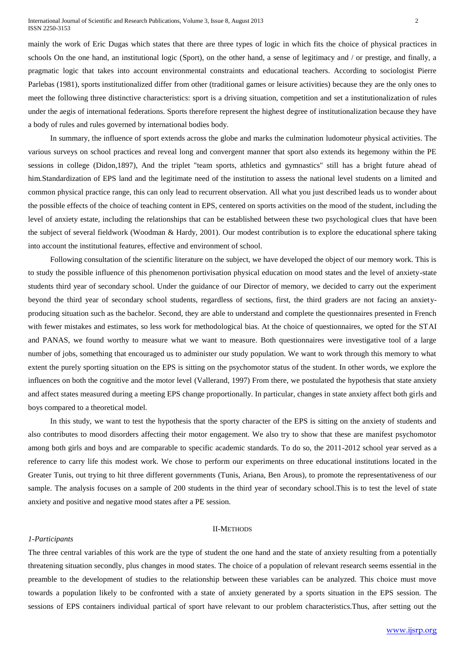mainly the work of Eric Dugas which states that there are three types of logic in which fits the choice of physical practices in schools On the one hand, an institutional logic (Sport), on the other hand, a sense of legitimacy and / or prestige, and finally, a pragmatic logic that takes into account environmental constraints and educational teachers. According to sociologist Pierre Parlebas (1981), sports institutionalized differ from other (traditional games or leisure activities) because they are the only ones to meet the following three distinctive characteristics: sport is a driving situation, competition and set a institutionalization of rules under the aegis of international federations. Sports therefore represent the highest degree of institutionalization because they have a body of rules and rules governed by international bodies body.

In summary, the influence of sport extends across the globe and marks the culmination ludomoteur physical activities. The various surveys on school practices and reveal long and convergent manner that sport also extends its hegemony within the PE sessions in college (Didon,1897), And the triplet "team sports, athletics and gymnastics" still has a bright future ahead of him.Standardization of EPS land and the legitimate need of the institution to assess the national level students on a limited and common physical practice range, this can only lead to recurrent observation. All what you just described leads us to wonder about the possible effects of the choice of teaching content in EPS, centered on sports activities on the mood of the student, including the level of anxiety estate, including the relationships that can be established between these two psychological clues that have been the subject of several fieldwork (Woodman & Hardy, 2001). Our modest contribution is to explore the educational sphere taking into account the institutional features, effective and environment of school.

Following consultation of the scientific literature on the subject, we have developed the object of our memory work. This is to study the possible influence of this phenomenon portivisation physical education on mood states and the level of anxiety-state students third year of secondary school. Under the guidance of our Director of memory, we decided to carry out the experiment beyond the third year of secondary school students, regardless of sections, first, the third graders are not facing an anxietyproducing situation such as the bachelor. Second, they are able to understand and complete the questionnaires presented in French with fewer mistakes and estimates, so less work for methodological bias. At the choice of questionnaires, we opted for the STAI and PANAS, we found worthy to measure what we want to measure. Both questionnaires were investigative tool of a large number of jobs, something that encouraged us to administer our study population. We want to work through this memory to what extent the purely sporting situation on the EPS is sitting on the psychomotor status of the student. In other words, we explore the influences on both the cognitive and the motor level (Vallerand, 1997) From there, we postulated the hypothesis that state anxiety and affect states measured during a meeting EPS change proportionally. In particular, changes in state anxiety affect both girls and boys compared to a theoretical model.

In this study, we want to test the hypothesis that the sporty character of the EPS is sitting on the anxiety of students and also contributes to mood disorders affecting their motor engagement. We also try to show that these are manifest psychomotor among both girls and boys and are comparable to specific academic standards. To do so, the 2011-2012 school year served as a reference to carry life this modest work. We chose to perform our experiments on three educational institutions located in the Greater Tunis, out trying to hit three different governments (Tunis, Ariana, Ben Arous), to promote the representativeness of our sample. The analysis focuses on a sample of 200 students in the third year of secondary school.This is to test the level of state anxiety and positive and negative mood states after a PE session.

### II-METHODS

#### *1-Participants*

The three central variables of this work are the type of student the one hand and the state of anxiety resulting from a potentially threatening situation secondly, plus changes in mood states. The choice of a population of relevant research seems essential in the preamble to the development of studies to the relationship between these variables can be analyzed. This choice must move towards a population likely to be confronted with a state of anxiety generated by a sports situation in the EPS session. The sessions of EPS containers individual partical of sport have relevant to our problem characteristics.Thus, after setting out the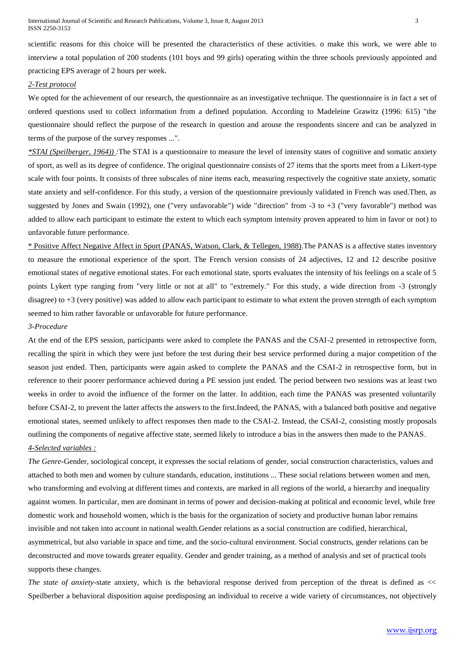scientific reasons for this choice will be presented the characteristics of these activities. o make this work, we were able to interview a total population of 200 students (101 boys and 99 girls) operating within the three schools previously appointed and practicing EPS average of 2 hours per week.

# *2-Test protocol*

We opted for the achievement of our research, the questionnaire as an investigative technique. The questionnaire is in fact a set of ordered questions used to collect information from a defined population. According to Madeleine Grawitz (1996: 615) "the questionnaire should reflect the purpose of the research in question and arouse the respondents sincere and can be analyzed in terms of the purpose of the survey responses ...".

*\*STAI (Speilberger, 1964)) :*The STAI is a questionnaire to measure the level of intensity states of cognitive and somatic anxiety of sport, as well as its degree of confidence. The original questionnaire consists of 27 items that the sports meet from a Likert-type scale with four points. It consists of three subscales of nine items each, measuring respectively the cognitive state anxiety, somatic state anxiety and self-confidence. For this study, a version of the questionnaire previously validated in French was used.Then, as suggested by Jones and Swain (1992), one ("very unfavorable") wide "direction" from -3 to +3 ("very favorable") method was added to allow each participant to estimate the extent to which each symptom intensity proven appeared to him in favor or not) to unfavorable future performance.

\* Positive Affect Negative Affect in Sport (PANAS, Watson, Clark, & Tellegen, 1988).The PANAS is a affective states inventory to measure the emotional experience of the sport. The French version consists of 24 adjectives, 12 and 12 describe positive emotional states of negative emotional states. For each emotional state, sports evaluates the intensity of his feelings on a scale of 5 points Lykert type ranging from "very little or not at all" to "extremely." For this study, a wide direction from -3 (strongly disagree) to +3 (very positive) was added to allow each participant to estimate to what extent the proven strength of each symptom seemed to him rather favorable or unfavorable for future performance.

#### *3-Procedure*

At the end of the EPS session, participants were asked to complete the PANAS and the CSAI-2 presented in retrospective form, recalling the spirit in which they were just before the test during their best service performed during a major competition of the season just ended. Then, participants were again asked to complete the PANAS and the CSAI-2 in retrospective form, but in reference to their poorer performance achieved during a PE session just ended. The period between two sessions was at least two weeks in order to avoid the influence of the former on the latter. In addition, each time the PANAS was presented voluntarily before CSAI-2, to prevent the latter affects the answers to the first.Indeed, the PANAS, with a balanced both positive and negative emotional states, seemed unlikely to affect responses then made to the CSAI-2. Instead, the CSAI-2, consisting mostly proposals outlining the components of negative affective state, seemed likely to introduce a bias in the answers then made to the PANAS. *4-Selected variables :*

*The Genre-*Gender, sociological concept, it expresses the social relations of gender, social construction characteristics, values and attached to both men and women by culture standards, education, institutions ... These social relations between women and men, who transforming and evolving at different times and contexts, are marked in all regions of the world, a hierarchy and inequality against women. In particular, men are dominant in terms of power and decision-making at political and economic level, while free domestic work and household women, which is the basis for the organization of society and productive human labor remains invisible and not taken into account in national wealth.Gender relations as a social construction are codified, hierarchical, asymmetrical, but also variable in space and time, and the socio-cultural environment. Social constructs, gender relations can be deconstructed and move towards greater equality. Gender and gender training, as a method of analysis and set of practical tools supports these changes.

*The state of anxiety-*state anxiety, which is the behavioral response derived from perception of the threat is defined as << Speilberber a behavioral disposition aquise predisposing an individual to receive a wide variety of circumstances, not objectively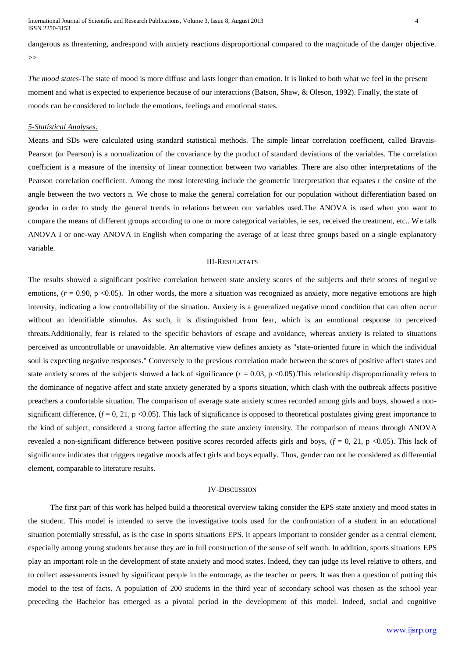International Journal of Scientific and Research Publications, Volume 3, Issue 8, August 2013 4 ISSN 2250-3153

dangerous as threatening, andrespond with anxiety reactions disproportional compared to the magnitude of the danger objective.  $\rightarrow$ 

*The mood states-*The state of mood is more diffuse and lasts longer than emotion. It is linked to both what we feel in the present moment and what is expected to experience because of our interactions (Batson, Shaw, & Oleson, 1992). Finally, the state of moods can be considered to include the emotions, feelings and emotional states.

#### *5-Statistical Analyses:*

Means and SDs were calculated using standard statistical methods. The simple linear correlation coefficient, called Bravais-Pearson (or Pearson) is a normalization of the covariance by the product of standard deviations of the variables. The correlation coefficient is a measure of the intensity of linear connection between two variables. There are also other interpretations of the Pearson correlation coefficient. Among the most interesting include the geometric interpretation that equates r the cosine of the angle between the two vectors n. We chose to make the general correlation for our population without differentiation based on gender in order to study the general trends in relations between our variables used.The ANOVA is used when you want to compare the means of different groups according to one or more categorical variables, ie sex, received the treatment, etc.. We talk ANOVA I or one-way ANOVA in English when comparing the average of at least three groups based on a single explanatory variable.

# III-RESULATATS

The results showed a significant positive correlation between state anxiety scores of the subjects and their scores of negative emotions, ( $r = 0.90$ , p <0.05). In other words, the more a situation was recognized as anxiety, more negative emotions are high intensity, indicating a low controllability of the situation. Anxiety is a generalized negative mood condition that can often occur without an identifiable stimulus. As such, it is distinguished from fear, which is an emotional response to perceived threats.Additionally, fear is related to the specific behaviors of escape and avoidance, whereas anxiety is related to situations perceived as uncontrollable or unavoidable. An alternative view defines anxiety as "state-oriented future in which the individual soul is expecting negative responses." Conversely to the previous correlation made between the scores of positive affect states and state anxiety scores of the subjects showed a lack of significance  $(r = 0.03, p < 0.05)$ . This relationship disproportionality refers to the dominance of negative affect and state anxiety generated by a sports situation, which clash with the outbreak affects positive preachers a comfortable situation. The comparison of average state anxiety scores recorded among girls and boys, showed a nonsignificant difference,  $(f = 0, 21, p < 0.05)$ . This lack of significance is opposed to theoretical postulates giving great importance to the kind of subject, considered a strong factor affecting the state anxiety intensity. The comparison of means through ANOVA revealed a non-significant difference between positive scores recorded affects girls and boys,  $(f = 0, 21, p \le 0.05)$ . This lack of significance indicates that triggers negative moods affect girls and boys equally. Thus, gender can not be considered as differential element, comparable to literature results.

#### IV-DISCUSSION

The first part of this work has helped build a theoretical overview taking consider the EPS state anxiety and mood states in the student. This model is intended to serve the investigative tools used for the confrontation of a student in an educational situation potentially stressful, as is the case in sports situations EPS. It appears important to consider gender as a central element, especially among young students because they are in full construction of the sense of self worth. In addition, sports situations EPS play an important role in the development of state anxiety and mood states. Indeed, they can judge its level relative to others, and to collect assessments issued by significant people in the entourage, as the teacher or peers. It was then a question of putting this model to the test of facts. A population of 200 students in the third year of secondary school was chosen as the school year preceding the Bachelor has emerged as a pivotal period in the development of this model. Indeed, social and cognitive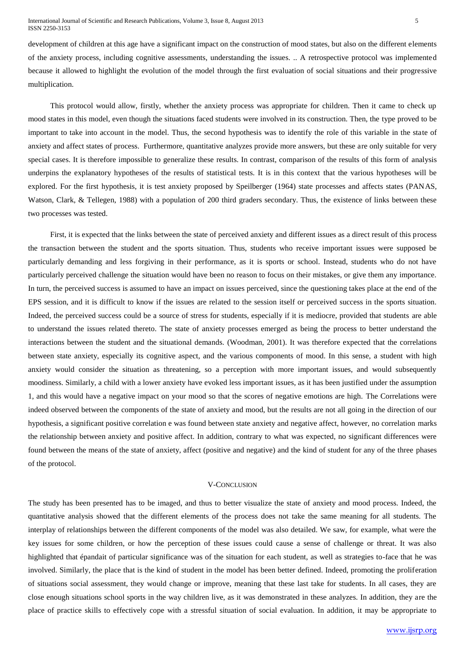development of children at this age have a significant impact on the construction of mood states, but also on the different elements of the anxiety process, including cognitive assessments, understanding the issues. .. A retrospective protocol was implemented because it allowed to highlight the evolution of the model through the first evaluation of social situations and their progressive multiplication.

This protocol would allow, firstly, whether the anxiety process was appropriate for children. Then it came to check up mood states in this model, even though the situations faced students were involved in its construction. Then, the type proved to be important to take into account in the model. Thus, the second hypothesis was to identify the role of this variable in the state of anxiety and affect states of process. Furthermore, quantitative analyzes provide more answers, but these are only suitable for very special cases. It is therefore impossible to generalize these results. In contrast, comparison of the results of this form of analysis underpins the explanatory hypotheses of the results of statistical tests. It is in this context that the various hypotheses will be explored. For the first hypothesis, it is test anxiety proposed by Speilberger (1964) state processes and affects states (PANAS, Watson, Clark, & Tellegen, 1988) with a population of 200 third graders secondary. Thus, the existence of links between these two processes was tested.

First, it is expected that the links between the state of perceived anxiety and different issues as a direct result of this process the transaction between the student and the sports situation. Thus, students who receive important issues were supposed be particularly demanding and less forgiving in their performance, as it is sports or school. Instead, students who do not have particularly perceived challenge the situation would have been no reason to focus on their mistakes, or give them any importance. In turn, the perceived success is assumed to have an impact on issues perceived, since the questioning takes place at the end of the EPS session, and it is difficult to know if the issues are related to the session itself or perceived success in the sports situation. Indeed, the perceived success could be a source of stress for students, especially if it is mediocre, provided that students are able to understand the issues related thereto. The state of anxiety processes emerged as being the process to better understand the interactions between the student and the situational demands. (Woodman, 2001). It was therefore expected that the correlations between state anxiety, especially its cognitive aspect, and the various components of mood. In this sense, a student with high anxiety would consider the situation as threatening, so a perception with more important issues, and would subsequently moodiness. Similarly, a child with a lower anxiety have evoked less important issues, as it has been justified under the assumption 1, and this would have a negative impact on your mood so that the scores of negative emotions are high. The Correlations were indeed observed between the components of the state of anxiety and mood, but the results are not all going in the direction of our hypothesis, a significant positive correlation e was found between state anxiety and negative affect, however, no correlation marks the relationship between anxiety and positive affect. In addition, contrary to what was expected, no significant differences were found between the means of the state of anxiety, affect (positive and negative) and the kind of student for any of the three phases of the protocol.

# V-CONCLUSION

The study has been presented has to be imaged, and thus to better visualize the state of anxiety and mood process. Indeed, the quantitative analysis showed that the different elements of the process does not take the same meaning for all students. The interplay of relationships between the different components of the model was also detailed. We saw, for example, what were the key issues for some children, or how the perception of these issues could cause a sense of challenge or threat. It was also highlighted that épandait of particular significance was of the situation for each student, as well as strategies to-face that he was involved. Similarly, the place that is the kind of student in the model has been better defined. Indeed, promoting the proliferation of situations social assessment, they would change or improve, meaning that these last take for students. In all cases, they are close enough situations school sports in the way children live, as it was demonstrated in these analyzes. In addition, they are the place of practice skills to effectively cope with a stressful situation of social evaluation. In addition, it may be appropriate to